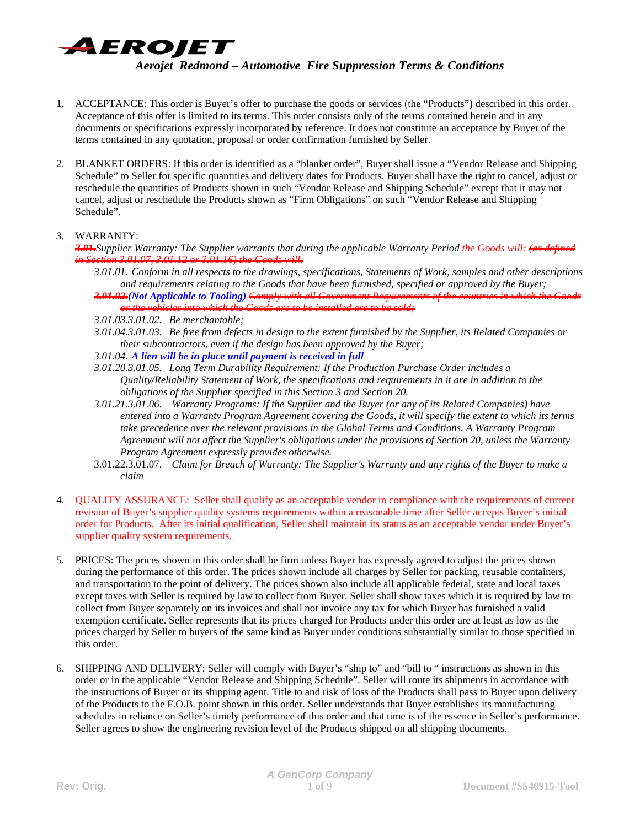

- 1. ACCEPTANCE: This order is Buyer's offer to purchase the goods or services (the "Products") described in this order. Acceptance of this offer is limited to its terms. This order consists only of the terms contained herein and in any documents or specifications expressly incorporated by reference. It does not constitute an acceptance by Buyer of the terms contained in any quotation, proposal or order confirmation furnished by Seller.
- 2. BLANKET ORDERS: If this order is identified as a "blanket order", Buyer shall issue a "Vendor Release and Shipping Schedule" to Seller for specific quantities and delivery dates for Products. Buyer shall have the right to cancel, adjust or reschedule the quantities of Products shown in such "Vendor Release and Shipping Schedule" except that it may not cancel, adjust or reschedule the Products shown as "Firm Obligations" on such "Vendor Release and Shipping Schedule".

#### *3.* WARRANTY:

- *3.01.Supplier Warranty: The Supplier warrants that during the applicable Warranty Period the Goods will: (as defined in Section 3.01.07, 3.01.12 or 3.01.16) the Goods will:*
	- *3.01.01. Conform in all respects to the drawings, specifications, Statements of Work, samples and other descriptions and requirements relating to the Goods that have been furnished, specified or approved by the Buyer; 3.01.02.(Not Applicable to Tooling) Comply with all Government Requirements of the countries in which the Goods*
	- *or the vehicles into which the Goods are to be installed are to be sold; 3.01.03.3.01.02. Be merchantable;*
	- *3.01.04.3.01.03. Be free from defects in design to the extent furnished by the Supplier, its Related Companies or their subcontractors, even if the design has been approved by the Buyer;*
	- *3.01.04. A lien will be in place until payment is received in full*
	- *3.01.20.3.01.05. Long Term Durability Requirement: If the Production Purchase Order includes a Quality/Reliability Statement of Work, the specifications and requirements in it are in addition to the obligations of the Supplier specified in this Section 3 and Section 20.*
	- *3.01.21.3.01.06. Warranty Programs: If the Supplier and the Buyer (or any of its Related Companies) have entered into a Warranty Program Agreement covering the Goods, it will specify the extent to which its terms take precedence over the relevant provisions in the Global Terms and Conditions. A Warranty Program Agreement will not affect the Supplier's obligations under the provisions of Section 20, unless the Warranty Program Agreement expressly provides otherwise.*
	- 3.01.22.3.01.07. *Claim for Breach of Warranty: The Supplier's Warranty and any rights of the Buyer to make a claim*
- 4. QUALITY ASSURANCE: Seller shall qualify as an acceptable vendor in compliance with the requirements of current revision of Buyer's supplier quality systems requirements within a reasonable time after Seller accepts Buyer's initial order for Products. After its initial qualification, Seller shall maintain its status as an acceptable vendor under Buyer's supplier quality system requirements.
- 5. PRICES: The prices shown in this order shall be firm unless Buyer has expressly agreed to adjust the prices shown during the performance of this order. The prices shown include all charges by Seller for packing, reusable containers, and transportation to the point of delivery. The prices shown also include all applicable federal, state and local taxes except taxes with Seller is required by law to collect from Buyer. Seller shall show taxes which it is required by law to collect from Buyer separately on its invoices and shall not invoice any tax for which Buyer has furnished a valid exemption certificate. Seller represents that its prices charged for Products under this order are at least as low as the prices charged by Seller to buyers of the same kind as Buyer under conditions substantially similar to those specified in this order.
- 6. SHIPPING AND DELIVERY: Seller will comply with Buyer's "ship to" and "bill to " instructions as shown in this order or in the applicable "Vendor Release and Shipping Schedule". Seller will route its shipments in accordance with the instructions of Buyer or its shipping agent. Title to and risk of loss of the Products shall pass to Buyer upon delivery of the Products to the F.O.B. point shown in this order. Seller understands that Buyer establishes its manufacturing schedules in reliance on Seller's timely performance of this order and that time is of the essence in Seller's performance. Seller agrees to show the engineering revision level of the Products shipped on all shipping documents.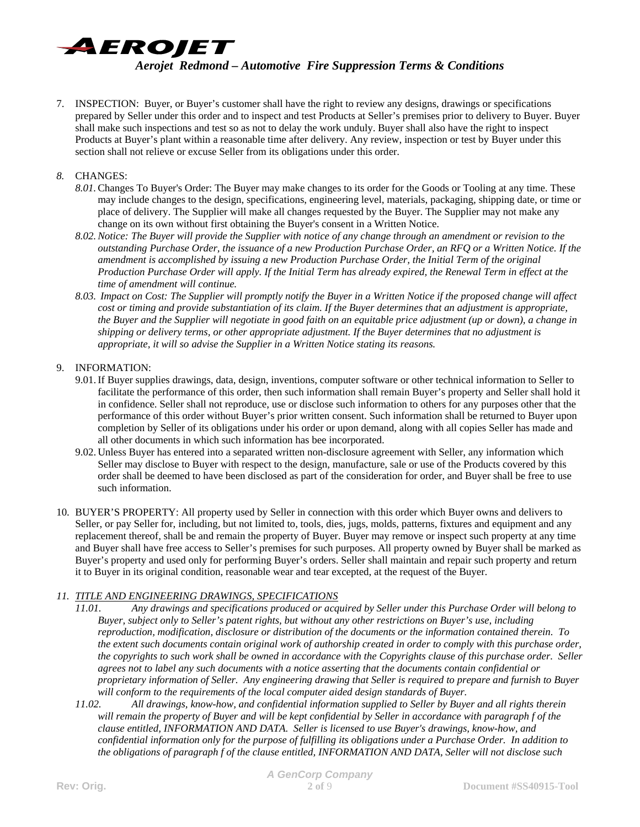

7. INSPECTION: Buyer, or Buyer's customer shall have the right to review any designs, drawings or specifications prepared by Seller under this order and to inspect and test Products at Seller's premises prior to delivery to Buyer. Buyer shall make such inspections and test so as not to delay the work unduly. Buyer shall also have the right to inspect Products at Buyer's plant within a reasonable time after delivery. Any review, inspection or test by Buyer under this section shall not relieve or excuse Seller from its obligations under this order.

### *8.* CHANGES:

- *8.01.*Changes To Buyer's Order: The Buyer may make changes to its order for the Goods or Tooling at any time. These may include changes to the design, specifications, engineering level, materials, packaging, shipping date, or time or place of delivery. The Supplier will make all changes requested by the Buyer. The Supplier may not make any change on its own without first obtaining the Buyer's consent in a Written Notice.
- *8.02.Notice: The Buyer will provide the Supplier with notice of any change through an amendment or revision to the outstanding Purchase Order, the issuance of a new Production Purchase Order, an RFQ or a Written Notice. If the amendment is accomplished by issuing a new Production Purchase Order, the Initial Term of the original Production Purchase Order will apply. If the Initial Term has already expired, the Renewal Term in effect at the time of amendment will continue.*
- *8.03. Impact on Cost: The Supplier will promptly notify the Buyer in a Written Notice if the proposed change will affect cost or timing and provide substantiation of its claim. If the Buyer determines that an adjustment is appropriate, the Buyer and the Supplier will negotiate in good faith on an equitable price adjustment (up or down), a change in shipping or delivery terms, or other appropriate adjustment. If the Buyer determines that no adjustment is appropriate, it will so advise the Supplier in a Written Notice stating its reasons.*

# 9. INFORMATION:

- 9.01.If Buyer supplies drawings, data, design, inventions, computer software or other technical information to Seller to facilitate the performance of this order, then such information shall remain Buyer's property and Seller shall hold it in confidence. Seller shall not reproduce, use or disclose such information to others for any purposes other that the performance of this order without Buyer's prior written consent. Such information shall be returned to Buyer upon completion by Seller of its obligations under his order or upon demand, along with all copies Seller has made and all other documents in which such information has bee incorporated.
- 9.02. Unless Buyer has entered into a separated written non-disclosure agreement with Seller, any information which Seller may disclose to Buyer with respect to the design, manufacture, sale or use of the Products covered by this order shall be deemed to have been disclosed as part of the consideration for order, and Buyer shall be free to use such information.
- 10. BUYER'S PROPERTY: All property used by Seller in connection with this order which Buyer owns and delivers to Seller, or pay Seller for, including, but not limited to, tools, dies, jugs, molds, patterns, fixtures and equipment and any replacement thereof, shall be and remain the property of Buyer. Buyer may remove or inspect such property at any time and Buyer shall have free access to Seller's premises for such purposes. All property owned by Buyer shall be marked as Buyer's property and used only for performing Buyer's orders. Seller shall maintain and repair such property and return it to Buyer in its original condition, reasonable wear and tear excepted, at the request of the Buyer.

# *11. TITLE AND ENGINEERING DRAWINGS, SPECIFICATIONS*

- *11.01. Any drawings and specifications produced or acquired by Seller under this Purchase Order will belong to Buyer, subject only to Seller's patent rights, but without any other restrictions on Buyer's use, including reproduction, modification, disclosure or distribution of the documents or the information contained therein. To the extent such documents contain original work of authorship created in order to comply with this purchase order, the copyrights to such work shall be owned in accordance with the Copyrights clause of this purchase order. Seller agrees not to label any such documents with a notice asserting that the documents contain confidential or proprietary information of Seller. Any engineering drawing that Seller is required to prepare and furnish to Buyer will conform to the requirements of the local computer aided design standards of Buyer.*
- *11.02. All drawings, know-how, and confidential information supplied to Seller by Buyer and all rights therein will remain the property of Buyer and will be kept confidential by Seller in accordance with paragraph f of the clause entitled, INFORMATION AND DATA. Seller is licensed to use Buyer's drawings, know-how, and confidential information only for the purpose of fulfilling its obligations under a Purchase Order. In addition to the obligations of paragraph f of the clause entitled, INFORMATION AND DATA, Seller will not disclose such*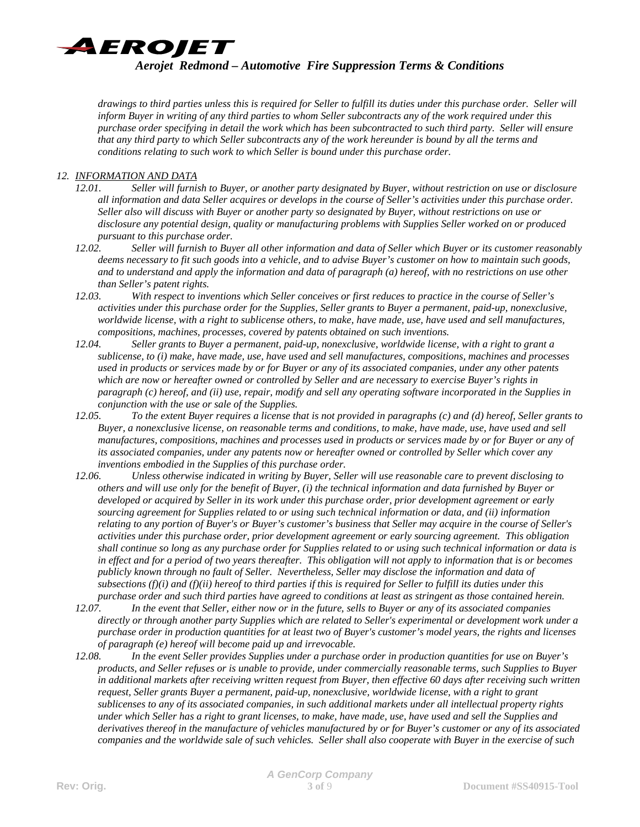

*drawings to third parties unless this is required for Seller to fulfill its duties under this purchase order. Seller will inform Buyer in writing of any third parties to whom Seller subcontracts any of the work required under this purchase order specifying in detail the work which has been subcontracted to such third party. Seller will ensure that any third party to which Seller subcontracts any of the work hereunder is bound by all the terms and conditions relating to such work to which Seller is bound under this purchase order.* 

# *12. INFORMATION AND DATA*

- *12.01. Seller will furnish to Buyer, or another party designated by Buyer, without restriction on use or disclosure all information and data Seller acquires or develops in the course of Seller's activities under this purchase order. Seller also will discuss with Buyer or another party so designated by Buyer, without restrictions on use or disclosure any potential design, quality or manufacturing problems with Supplies Seller worked on or produced pursuant to this purchase order.*
- *12.02. Seller will furnish to Buyer all other information and data of Seller which Buyer or its customer reasonably deems necessary to fit such goods into a vehicle, and to advise Buyer's customer on how to maintain such goods, and to understand and apply the information and data of paragraph (a) hereof, with no restrictions on use other than Seller's patent rights.*
- *12.03. With respect to inventions which Seller conceives or first reduces to practice in the course of Seller's activities under this purchase order for the Supplies, Seller grants to Buyer a permanent, paid-up, nonexclusive, worldwide license, with a right to sublicense others, to make, have made, use, have used and sell manufactures, compositions, machines, processes, covered by patents obtained on such inventions.*
- *12.04. Seller grants to Buyer a permanent, paid-up, nonexclusive, worldwide license, with a right to grant a sublicense, to (i) make, have made, use, have used and sell manufactures, compositions, machines and processes used in products or services made by or for Buyer or any of its associated companies, under any other patents which are now or hereafter owned or controlled by Seller and are necessary to exercise Buyer's rights in paragraph (c) hereof, and (ii) use, repair, modify and sell any operating software incorporated in the Supplies in conjunction with the use or sale of the Supplies.*
- *12.05. To the extent Buyer requires a license that is not provided in paragraphs (c) and (d) hereof, Seller grants to Buyer, a nonexclusive license, on reasonable terms and conditions, to make, have made, use, have used and sell manufactures, compositions, machines and processes used in products or services made by or for Buyer or any of its associated companies, under any patents now or hereafter owned or controlled by Seller which cover any inventions embodied in the Supplies of this purchase order.*
- *12.06. Unless otherwise indicated in writing by Buyer, Seller will use reasonable care to prevent disclosing to others and will use only for the benefit of Buyer, (i) the technical information and data furnished by Buyer or developed or acquired by Seller in its work under this purchase order, prior development agreement or early sourcing agreement for Supplies related to or using such technical information or data, and (ii) information relating to any portion of Buyer's or Buyer's customer's business that Seller may acquire in the course of Seller's activities under this purchase order, prior development agreement or early sourcing agreement. This obligation shall continue so long as any purchase order for Supplies related to or using such technical information or data is in effect and for a period of two years thereafter. This obligation will not apply to information that is or becomes publicly known through no fault of Seller. Nevertheless, Seller may disclose the information and data of subsections (f)(i) and (f)(ii) hereof to third parties if this is required for Seller to fulfill its duties under this purchase order and such third parties have agreed to conditions at least as stringent as those contained herein.*
- *12.07. In the event that Seller, either now or in the future, sells to Buyer or any of its associated companies directly or through another party Supplies which are related to Seller's experimental or development work under a purchase order in production quantities for at least two of Buyer's customer's model years, the rights and licenses of paragraph (e) hereof will become paid up and irrevocable.*
- *12.08. In the event Seller provides Supplies under a purchase order in production quantities for use on Buyer's products, and Seller refuses or is unable to provide, under commercially reasonable terms, such Supplies to Buyer in additional markets after receiving written request from Buyer, then effective 60 days after receiving such written request, Seller grants Buyer a permanent, paid-up, nonexclusive, worldwide license, with a right to grant sublicenses to any of its associated companies, in such additional markets under all intellectual property rights under which Seller has a right to grant licenses, to make, have made, use, have used and sell the Supplies and derivatives thereof in the manufacture of vehicles manufactured by or for Buyer's customer or any of its associated companies and the worldwide sale of such vehicles. Seller shall also cooperate with Buyer in the exercise of such*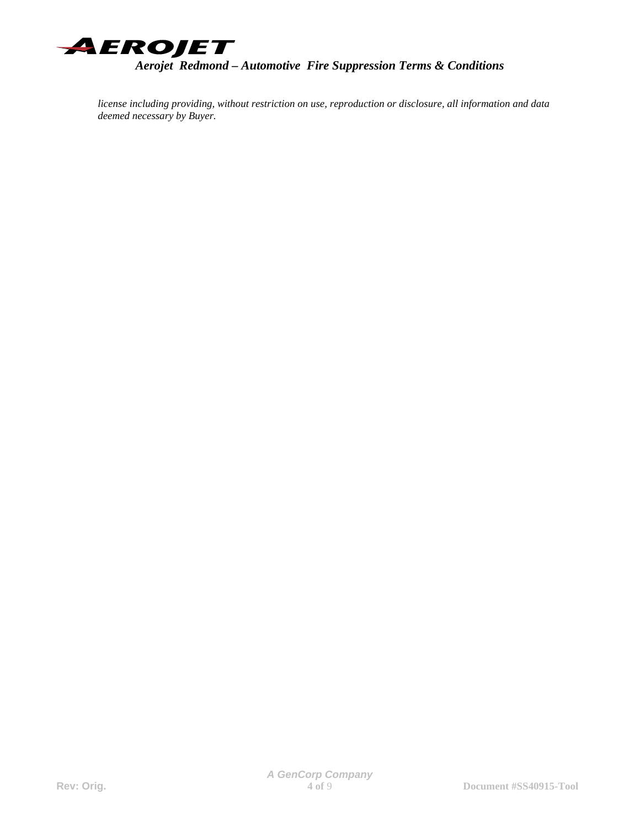

*license including providing, without restriction on use, reproduction or disclosure, all information and data deemed necessary by Buyer.*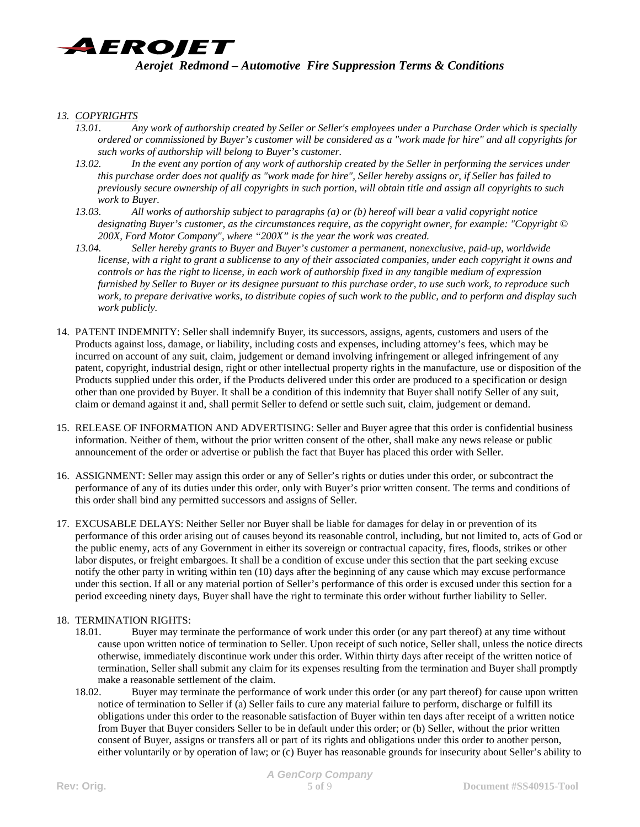

### *13. COPYRIGHTS*

- *13.01. Any work of authorship created by Seller or Seller's employees under a Purchase Order which is specially ordered or commissioned by Buyer's customer will be considered as a "work made for hire" and all copyrights for such works of authorship will belong to Buyer's customer.*
- *13.02. In the event any portion of any work of authorship created by the Seller in performing the services under this purchase order does not qualify as "work made for hire", Seller hereby assigns or, if Seller has failed to previously secure ownership of all copyrights in such portion, will obtain title and assign all copyrights to such work to Buyer.*
- *13.03. All works of authorship subject to paragraphs (a) or (b) hereof will bear a valid copyright notice designating Buyer's customer, as the circumstances require, as the copyright owner, for example: "Copyright © 200X, Ford Motor Company", where "200X" is the year the work was created.*
- *13.04. Seller hereby grants to Buyer and Buyer's customer a permanent, nonexclusive, paid-up, worldwide license, with a right to grant a sublicense to any of their associated companies, under each copyright it owns and controls or has the right to license, in each work of authorship fixed in any tangible medium of expression furnished by Seller to Buyer or its designee pursuant to this purchase order, to use such work, to reproduce such work, to prepare derivative works, to distribute copies of such work to the public, and to perform and display such work publicly.*
- 14. PATENT INDEMNITY: Seller shall indemnify Buyer, its successors, assigns, agents, customers and users of the Products against loss, damage, or liability, including costs and expenses, including attorney's fees, which may be incurred on account of any suit, claim, judgement or demand involving infringement or alleged infringement of any patent, copyright, industrial design, right or other intellectual property rights in the manufacture, use or disposition of the Products supplied under this order, if the Products delivered under this order are produced to a specification or design other than one provided by Buyer. It shall be a condition of this indemnity that Buyer shall notify Seller of any suit, claim or demand against it and, shall permit Seller to defend or settle such suit, claim, judgement or demand.
- 15. RELEASE OF INFORMATION AND ADVERTISING: Seller and Buyer agree that this order is confidential business information. Neither of them, without the prior written consent of the other, shall make any news release or public announcement of the order or advertise or publish the fact that Buyer has placed this order with Seller.
- 16. ASSIGNMENT: Seller may assign this order or any of Seller's rights or duties under this order, or subcontract the performance of any of its duties under this order, only with Buyer's prior written consent. The terms and conditions of this order shall bind any permitted successors and assigns of Seller.
- 17. EXCUSABLE DELAYS: Neither Seller nor Buyer shall be liable for damages for delay in or prevention of its performance of this order arising out of causes beyond its reasonable control, including, but not limited to, acts of God or the public enemy, acts of any Government in either its sovereign or contractual capacity, fires, floods, strikes or other labor disputes, or freight embargoes. It shall be a condition of excuse under this section that the part seeking excuse notify the other party in writing within ten (10) days after the beginning of any cause which may excuse performance under this section. If all or any material portion of Seller's performance of this order is excused under this section for a period exceeding ninety days, Buyer shall have the right to terminate this order without further liability to Seller.

#### 18. TERMINATION RIGHTS:

- 18.01. Buyer may terminate the performance of work under this order (or any part thereof) at any time without cause upon written notice of termination to Seller. Upon receipt of such notice, Seller shall, unless the notice directs otherwise, immediately discontinue work under this order. Within thirty days after receipt of the written notice of termination, Seller shall submit any claim for its expenses resulting from the termination and Buyer shall promptly make a reasonable settlement of the claim.
- 18.02. Buyer may terminate the performance of work under this order (or any part thereof) for cause upon written notice of termination to Seller if (a) Seller fails to cure any material failure to perform, discharge or fulfill its obligations under this order to the reasonable satisfaction of Buyer within ten days after receipt of a written notice from Buyer that Buyer considers Seller to be in default under this order; or (b) Seller, without the prior written consent of Buyer, assigns or transfers all or part of its rights and obligations under this order to another person, either voluntarily or by operation of law; or (c) Buyer has reasonable grounds for insecurity about Seller's ability to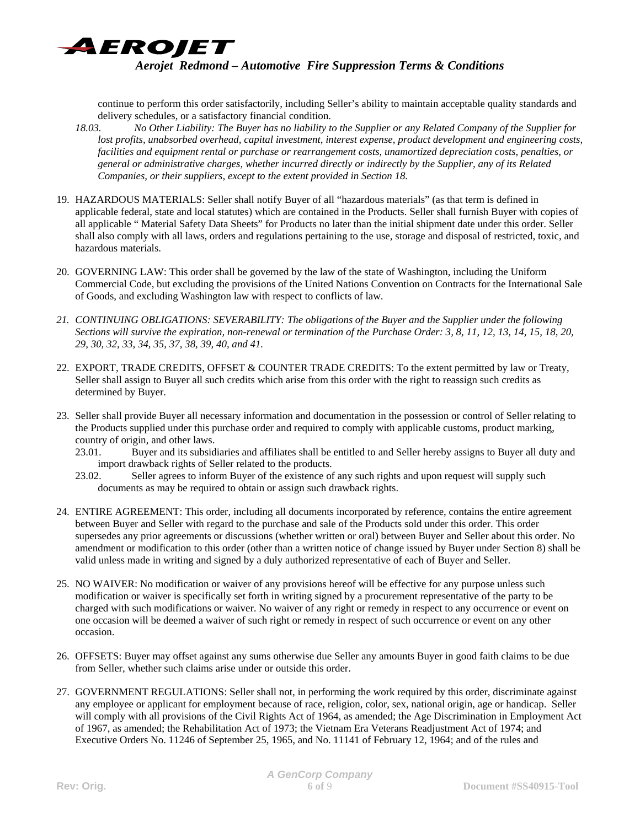

continue to perform this order satisfactorily, including Seller's ability to maintain acceptable quality standards and delivery schedules, or a satisfactory financial condition.

- *18.03. No Other Liability: The Buyer has no liability to the Supplier or any Related Company of the Supplier for lost profits, unabsorbed overhead, capital investment, interest expense, product development and engineering costs, facilities and equipment rental or purchase or rearrangement costs, unamortized depreciation costs, penalties, or general or administrative charges, whether incurred directly or indirectly by the Supplier, any of its Related Companies, or their suppliers, except to the extent provided in Section 18.*
- 19. HAZARDOUS MATERIALS: Seller shall notify Buyer of all "hazardous materials" (as that term is defined in applicable federal, state and local statutes) which are contained in the Products. Seller shall furnish Buyer with copies of all applicable " Material Safety Data Sheets" for Products no later than the initial shipment date under this order. Seller shall also comply with all laws, orders and regulations pertaining to the use, storage and disposal of restricted, toxic, and hazardous materials.
- 20. GOVERNING LAW: This order shall be governed by the law of the state of Washington, including the Uniform Commercial Code, but excluding the provisions of the United Nations Convention on Contracts for the International Sale of Goods, and excluding Washington law with respect to conflicts of law.
- *21. CONTINUING OBLIGATIONS: SEVERABILITY: The obligations of the Buyer and the Supplier under the following Sections will survive the expiration, non-renewal or termination of the Purchase Order: 3, 8, 11, 12, 13, 14, 15, 18, 20, 29, 30, 32, 33, 34, 35, 37, 38, 39, 40, and 41.*
- 22. EXPORT, TRADE CREDITS, OFFSET & COUNTER TRADE CREDITS: To the extent permitted by law or Treaty, Seller shall assign to Buyer all such credits which arise from this order with the right to reassign such credits as determined by Buyer.
- 23. Seller shall provide Buyer all necessary information and documentation in the possession or control of Seller relating to the Products supplied under this purchase order and required to comply with applicable customs, product marking, country of origin, and other laws.
	- 23.01. Buyer and its subsidiaries and affiliates shall be entitled to and Seller hereby assigns to Buyer all duty and import drawback rights of Seller related to the products.
	- 23.02. Seller agrees to inform Buyer of the existence of any such rights and upon request will supply such documents as may be required to obtain or assign such drawback rights.
- 24. ENTIRE AGREEMENT: This order, including all documents incorporated by reference, contains the entire agreement between Buyer and Seller with regard to the purchase and sale of the Products sold under this order. This order supersedes any prior agreements or discussions (whether written or oral) between Buyer and Seller about this order. No amendment or modification to this order (other than a written notice of change issued by Buyer under Section 8) shall be valid unless made in writing and signed by a duly authorized representative of each of Buyer and Seller.
- 25. NO WAIVER: No modification or waiver of any provisions hereof will be effective for any purpose unless such modification or waiver is specifically set forth in writing signed by a procurement representative of the party to be charged with such modifications or waiver. No waiver of any right or remedy in respect to any occurrence or event on one occasion will be deemed a waiver of such right or remedy in respect of such occurrence or event on any other occasion.
- 26. OFFSETS: Buyer may offset against any sums otherwise due Seller any amounts Buyer in good faith claims to be due from Seller, whether such claims arise under or outside this order.
- 27. GOVERNMENT REGULATIONS: Seller shall not, in performing the work required by this order, discriminate against any employee or applicant for employment because of race, religion, color, sex, national origin, age or handicap. Seller will comply with all provisions of the Civil Rights Act of 1964, as amended; the Age Discrimination in Employment Act of 1967, as amended; the Rehabilitation Act of 1973; the Vietnam Era Veterans Readjustment Act of 1974; and Executive Orders No. 11246 of September 25, 1965, and No. 11141 of February 12, 1964; and of the rules and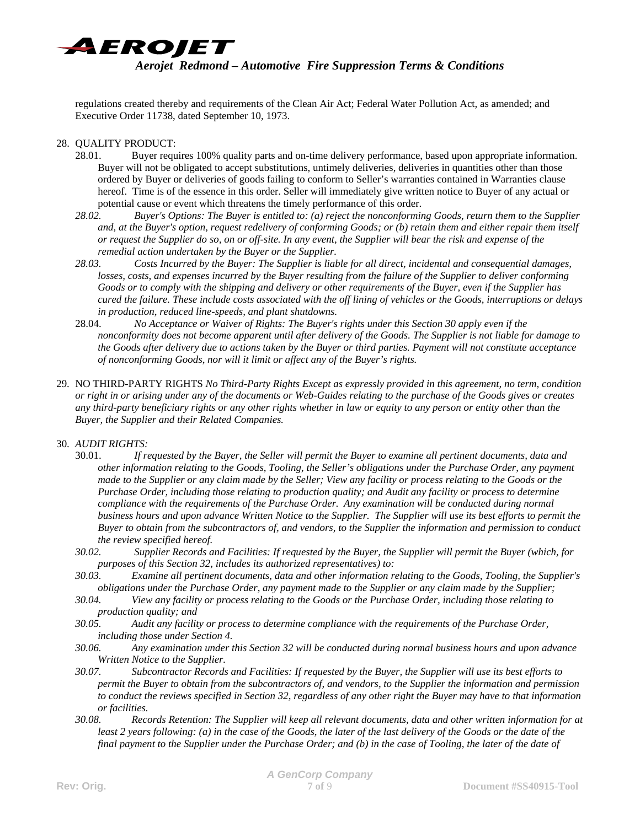

regulations created thereby and requirements of the Clean Air Act; Federal Water Pollution Act, as amended; and Executive Order 11738, dated September 10, 1973.

### 28. QUALITY PRODUCT:

- 28.01. Buyer requires 100% quality parts and on-time delivery performance, based upon appropriate information. Buyer will not be obligated to accept substitutions, untimely deliveries, deliveries in quantities other than those ordered by Buyer or deliveries of goods failing to conform to Seller's warranties contained in Warranties clause hereof. Time is of the essence in this order. Seller will immediately give written notice to Buyer of any actual or potential cause or event which threatens the timely performance of this order.
- *28.02. Buyer's Options: The Buyer is entitled to: (a) reject the nonconforming Goods, return them to the Supplier and, at the Buyer's option, request redelivery of conforming Goods; or (b) retain them and either repair them itself or request the Supplier do so, on or off-site. In any event, the Supplier will bear the risk and expense of the remedial action undertaken by the Buyer or the Supplier.*
- *28.03. Costs Incurred by the Buyer: The Supplier is liable for all direct, incidental and consequential damages, losses, costs, and expenses incurred by the Buyer resulting from the failure of the Supplier to deliver conforming Goods or to comply with the shipping and delivery or other requirements of the Buyer, even if the Supplier has cured the failure. These include costs associated with the off lining of vehicles or the Goods, interruptions or delays in production, reduced line-speeds, and plant shutdowns.*
- 28.04. *No Acceptance or Waiver of Rights: The Buyer's rights under this Section 30 apply even if the nonconformity does not become apparent until after delivery of the Goods. The Supplier is not liable for damage to the Goods after delivery due to actions taken by the Buyer or third parties. Payment will not constitute acceptance of nonconforming Goods, nor will it limit or affect any of the Buyer's rights.*
- 29. NO THIRD-PARTY RIGHTS *No Third-Party Rights Except as expressly provided in this agreement, no term, condition or right in or arising under any of the documents or Web-Guides relating to the purchase of the Goods gives or creates any third-party beneficiary rights or any other rights whether in law or equity to any person or entity other than the Buyer, the Supplier and their Related Companies.*

#### 30. *AUDIT RIGHTS:*

- 30.01. *If requested by the Buyer, the Seller will permit the Buyer to examine all pertinent documents, data and other information relating to the Goods, Tooling, the Seller's obligations under the Purchase Order, any payment made to the Supplier or any claim made by the Seller; View any facility or process relating to the Goods or the Purchase Order, including those relating to production quality; and Audit any facility or process to determine compliance with the requirements of the Purchase Order. Any examination will be conducted during normal business hours and upon advance Written Notice to the Supplier. The Supplier will use its best efforts to permit the Buyer to obtain from the subcontractors of, and vendors, to the Supplier the information and permission to conduct the review specified hereof.*
- *30.02. Supplier Records and Facilities: If requested by the Buyer, the Supplier will permit the Buyer (which, for purposes of this Section 32, includes its authorized representatives) to:*
- *30.03. Examine all pertinent documents, data and other information relating to the Goods, Tooling, the Supplier's obligations under the Purchase Order, any payment made to the Supplier or any claim made by the Supplier;*
- *30.04. View any facility or process relating to the Goods or the Purchase Order, including those relating to production quality; and*
- *30.05. Audit any facility or process to determine compliance with the requirements of the Purchase Order, including those under Section 4.*
- *30.06. Any examination under this Section 32 will be conducted during normal business hours and upon advance Written Notice to the Supplier.*
- *30.07. Subcontractor Records and Facilities: If requested by the Buyer, the Supplier will use its best efforts to permit the Buyer to obtain from the subcontractors of, and vendors, to the Supplier the information and permission to conduct the reviews specified in Section 32, regardless of any other right the Buyer may have to that information or facilities.*
- *30.08. Records Retention: The Supplier will keep all relevant documents, data and other written information for at least 2 years following: (a) in the case of the Goods, the later of the last delivery of the Goods or the date of the final payment to the Supplier under the Purchase Order; and (b) in the case of Tooling, the later of the date of*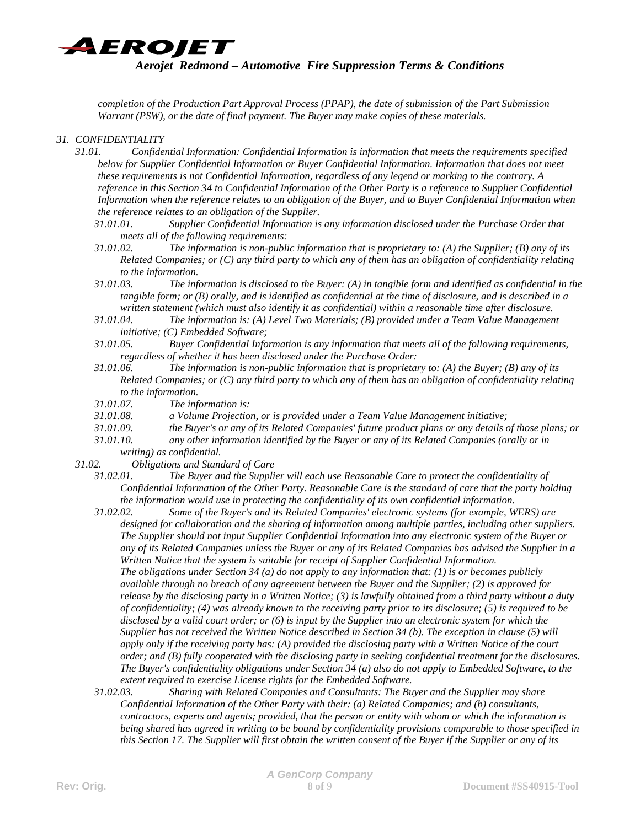

*completion of the Production Part Approval Process (PPAP), the date of submission of the Part Submission Warrant (PSW), or the date of final payment. The Buyer may make copies of these materials.*

### *31. CONFIDENTIALITY*

- *31.01. Confidential Information: Confidential Information is information that meets the requirements specified below for Supplier Confidential Information or Buyer Confidential Information. Information that does not meet these requirements is not Confidential Information, regardless of any legend or marking to the contrary. A reference in this Section 34 to Confidential Information of the Other Party is a reference to Supplier Confidential Information when the reference relates to an obligation of the Buyer, and to Buyer Confidential Information when the reference relates to an obligation of the Supplier.* 
	- *31.01.01. Supplier Confidential Information is any information disclosed under the Purchase Order that meets all of the following requirements:*
	- *31.01.02. The information is non-public information that is proprietary to: (A) the Supplier; (B) any of its Related Companies; or (C) any third party to which any of them has an obligation of confidentiality relating to the information.*
	- *31.01.03. The information is disclosed to the Buyer: (A) in tangible form and identified as confidential in the tangible form; or (B) orally, and is identified as confidential at the time of disclosure, and is described in a written statement (which must also identify it as confidential) within a reasonable time after disclosure.*
	- *31.01.04. The information is: (A) Level Two Materials; (B) provided under a Team Value Management initiative; (C) Embedded Software;*
	- *31.01.05. Buyer Confidential Information is any information that meets all of the following requirements, regardless of whether it has been disclosed under the Purchase Order:*
	- *31.01.06. The information is non-public information that is proprietary to: (A) the Buyer; (B) any of its Related Companies; or (C) any third party to which any of them has an obligation of confidentiality relating to the information.*
	- *31.01.07. The information is:*
	- *31.01.08. a Volume Projection, or is provided under a Team Value Management initiative;*
	- *31.01.09. the Buyer's or any of its Related Companies' future product plans or any details of those plans; or*
	- *31.01.10. any other information identified by the Buyer or any of its Related Companies (orally or in*

*writing) as confidential.* 

- *31.02. Obligations and Standard of Care* 
	- *31.02.01. The Buyer and the Supplier will each use Reasonable Care to protect the confidentiality of Confidential Information of the Other Party. Reasonable Care is the standard of care that the party holding the information would use in protecting the confidentiality of its own confidential information.*
	- *31.02.02. Some of the Buyer's and its Related Companies' electronic systems (for example, WERS) are designed for collaboration and the sharing of information among multiple parties, including other suppliers. The Supplier should not input Supplier Confidential Information into any electronic system of the Buyer or any of its Related Companies unless the Buyer or any of its Related Companies has advised the Supplier in a Written Notice that the system is suitable for receipt of Supplier Confidential Information. The obligations under Section 34 (a) do not apply to any information that: (1) is or becomes publicly available through no breach of any agreement between the Buyer and the Supplier; (2) is approved for release by the disclosing party in a Written Notice; (3) is lawfully obtained from a third party without a duty of confidentiality; (4) was already known to the receiving party prior to its disclosure; (5) is required to be disclosed by a valid court order; or (6) is input by the Supplier into an electronic system for which the Supplier has not received the Written Notice described in Section 34 (b). The exception in clause (5) will apply only if the receiving party has: (A) provided the disclosing party with a Written Notice of the court order; and (B) fully cooperated with the disclosing party in seeking confidential treatment for the disclosures. The Buyer's confidentiality obligations under Section 34 (a) also do not apply to Embedded Software, to the extent required to exercise License rights for the Embedded Software.*
	- *31.02.03. Sharing with Related Companies and Consultants: The Buyer and the Supplier may share Confidential Information of the Other Party with their: (a) Related Companies; and (b) consultants, contractors, experts and agents; provided, that the person or entity with whom or which the information is being shared has agreed in writing to be bound by confidentiality provisions comparable to those specified in this Section 17. The Supplier will first obtain the written consent of the Buyer if the Supplier or any of its*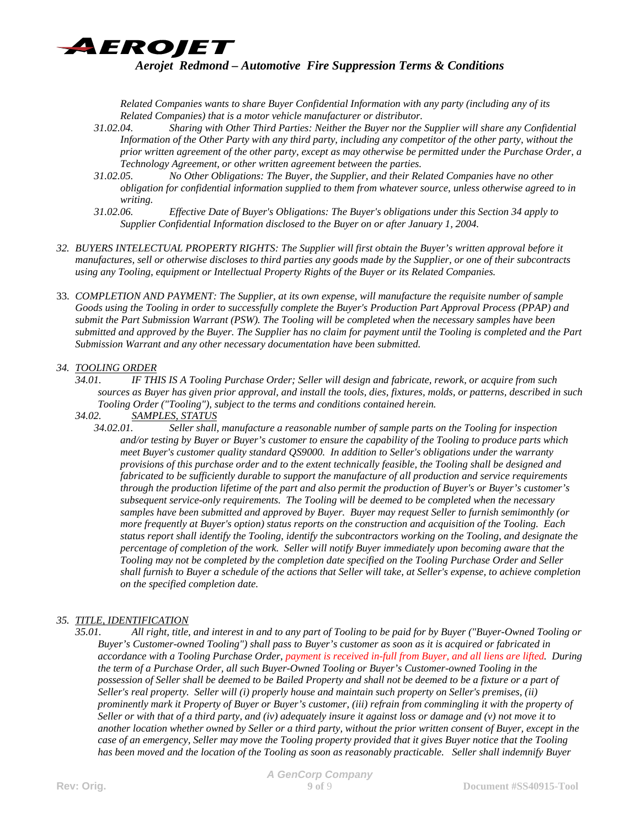AEROJET

# *Aerojet Redmond – Automotive Fire Suppression Terms & Conditions*

*Related Companies wants to share Buyer Confidential Information with any party (including any of its Related Companies) that is a motor vehicle manufacturer or distributor.* 

- *31.02.04. Sharing with Other Third Parties: Neither the Buyer nor the Supplier will share any Confidential Information of the Other Party with any third party, including any competitor of the other party, without the prior written agreement of the other party, except as may otherwise be permitted under the Purchase Order, a Technology Agreement, or other written agreement between the parties.*
- *31.02.05. No Other Obligations: The Buyer, the Supplier, and their Related Companies have no other obligation for confidential information supplied to them from whatever source, unless otherwise agreed to in writing.*
- *31.02.06. Effective Date of Buyer's Obligations: The Buyer's obligations under this Section 34 apply to Supplier Confidential Information disclosed to the Buyer on or after January 1, 2004.*
- *32. BUYERS INTELECTUAL PROPERTY RIGHTS: The Supplier will first obtain the Buyer's written approval before it manufactures, sell or otherwise discloses to third parties any goods made by the Supplier, or one of their subcontracts using any Tooling, equipment or Intellectual Property Rights of the Buyer or its Related Companies.*
- 33. *COMPLETION AND PAYMENT: The Supplier, at its own expense, will manufacture the requisite number of sample Goods using the Tooling in order to successfully complete the Buyer's Production Part Approval Process (PPAP) and submit the Part Submission Warrant (PSW). The Tooling will be completed when the necessary samples have been submitted and approved by the Buyer. The Supplier has no claim for payment until the Tooling is completed and the Part Submission Warrant and any other necessary documentation have been submitted.*

# *34. TOOLING ORDER*

- *34.01. IF THIS IS A Tooling Purchase Order; Seller will design and fabricate, rework, or acquire from such sources as Buyer has given prior approval, and install the tools, dies, fixtures, molds, or patterns, described in such Tooling Order ("Tooling"), subject to the terms and conditions contained herein.*
- *34.02. SAMPLES, STATUS*
	- *34.02.01. Seller shall, manufacture a reasonable number of sample parts on the Tooling for inspection and/or testing by Buyer or Buyer's customer to ensure the capability of the Tooling to produce parts which meet Buyer's customer quality standard QS9000. In addition to Seller's obligations under the warranty provisions of this purchase order and to the extent technically feasible, the Tooling shall be designed and fabricated to be sufficiently durable to support the manufacture of all production and service requirements through the production lifetime of the part and also permit the production of Buyer's or Buyer's customer's subsequent service-only requirements. The Tooling will be deemed to be completed when the necessary samples have been submitted and approved by Buyer. Buyer may request Seller to furnish semimonthly (or more frequently at Buyer's option) status reports on the construction and acquisition of the Tooling. Each status report shall identify the Tooling, identify the subcontractors working on the Tooling, and designate the percentage of completion of the work. Seller will notify Buyer immediately upon becoming aware that the Tooling may not be completed by the completion date specified on the Tooling Purchase Order and Seller shall furnish to Buyer a schedule of the actions that Seller will take, at Seller's expense, to achieve completion on the specified completion date.*

### *35. TITLE, IDENTIFICATION*

*35.01. All right, title, and interest in and to any part of Tooling to be paid for by Buyer ("Buyer-Owned Tooling or Buyer's Customer-owned Tooling") shall pass to Buyer's customer as soon as it is acquired or fabricated in accordance with a Tooling Purchase Order, payment is received in-full from Buyer, and all liens are lifted. During the term of a Purchase Order, all such Buyer-Owned Tooling or Buyer's Customer-owned Tooling in the possession of Seller shall be deemed to be Bailed Property and shall not be deemed to be a fixture or a part of Seller's real property. Seller will (i) properly house and maintain such property on Seller's premises, (ii) prominently mark it Property of Buyer or Buyer's customer, (iii) refrain from commingling it with the property of Seller or with that of a third party, and (iv) adequately insure it against loss or damage and (v) not move it to another location whether owned by Seller or a third party, without the prior written consent of Buyer, except in the case of an emergency, Seller may move the Tooling property provided that it gives Buyer notice that the Tooling has been moved and the location of the Tooling as soon as reasonably practicable. Seller shall indemnify Buyer*